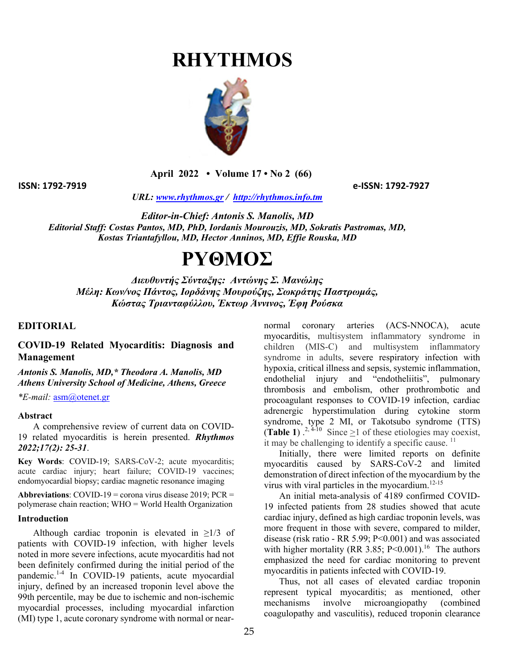# **RHYTHMOS**



**ISSN: 1792‐7919 e‐ISSN: 1792‐7927**

 **April 2022 • Volume 17 • No 2 (66)** 

*URL: www.rhythmos.gr / http://rhythmos.info.tm* 

*Editor-in-Chief: Antonis S. Manolis, MD Editorial Staff: Costas Pantos, MD, PhD, Iordanis Mourouzis, MD, Sokratis Pastromas, MD, Kostas Triantafyllou, MD, Hector Anninos, MD, Effie Rouska, MD* 

## **ΡΥΘΜΟΣ**

*Διευθυντής Σύνταξης: Αντώνης Σ. Μανώλης Μέλη: Κων/νος Πάντος, Ιορδάνης Μουρούζης, Σωκράτης Παστρωμάς, Κώστας Τριανταφύλλου, Έκτωρ Άννινος, Έφη Ρούσκα*

## **EDITORIAL**

## **COVID-19 Related Myocarditis: Diagnosis and Management**

*Antonis S. Manolis, MD,\* Theodora A. Manolis, MD Athens University School of Medicine, Athens, Greece* 

*\*E-mail:* asm@otenet.gr

#### **Abstract**

A comprehensive review of current data on COVID-19 related myocarditis is herein presented. *Rhythmos 2022;17(2): 25-31*.

**Key Words**: COVID-19; SARS-CoV-2; acute myocarditis; acute cardiac injury; heart failure; COVID-19 vaccines; endomyocardial biopsy; cardiac magnetic resonance imaging

**Abbreviations**: COVID-19 = corona virus disease 2019; PCR = polymerase chain reaction; WHO = World Health Organization

#### **Introduction**

Although cardiac troponin is elevated in  $\geq$ 1/3 of patients with COVID-19 infection, with higher levels noted in more severe infections, acute myocarditis had not been definitely confirmed during the initial period of the pandemic.1-4 In COVID-19 patients, acute myocardial injury, defined by an increased troponin level above the 99th percentile, may be due to ischemic and non-ischemic myocardial processes, including myocardial infarction (MI) type 1, acute coronary syndrome with normal or near-

normal coronary arteries (ACS-NNOCA), acute myocarditis, multisystem inflammatory syndrome in children (MIS-C) and multisystem inflammatory syndrome in adults, severe respiratory infection with hypoxia, critical illness and sepsis, systemic inflammation, endothelial injury and "endotheliitis", pulmonary thrombosis and embolism, other prothrombotic and procoagulant responses to COVID-19 infection, cardiac adrenergic hyperstimulation during cytokine storm syndrome, type 2 MI, or Takotsubo syndrome (TTS) **(Table 1)**  $^{2,4-10}$  Since >1 of these etiologies may coexist, it may be challenging to identify a specific cause.  $\frac{11}{1}$ 

Initially, there were limited reports on definite myocarditis caused by SARS-CoV-2 and limited demonstration of direct infection of the myocardium by the virus with viral particles in the myocardium.<sup>12-15</sup>

An initial meta-analysis of 4189 confirmed COVID-19 infected patients from 28 studies showed that acute cardiac injury, defined as high cardiac troponin levels, was more frequent in those with severe, compared to milder, disease (risk ratio - RR 5.99; P<0.001) and was associated with higher mortality (RR 3.85;  $P \le 0.001$ ).<sup>16</sup> The authors emphasized the need for cardiac monitoring to prevent myocarditis in patients infected with COVID-19.

Thus, not all cases of elevated cardiac troponin represent typical myocarditis; as mentioned, other mechanisms involve microangiopathy (combined coagulopathy and vasculitis), reduced troponin clearance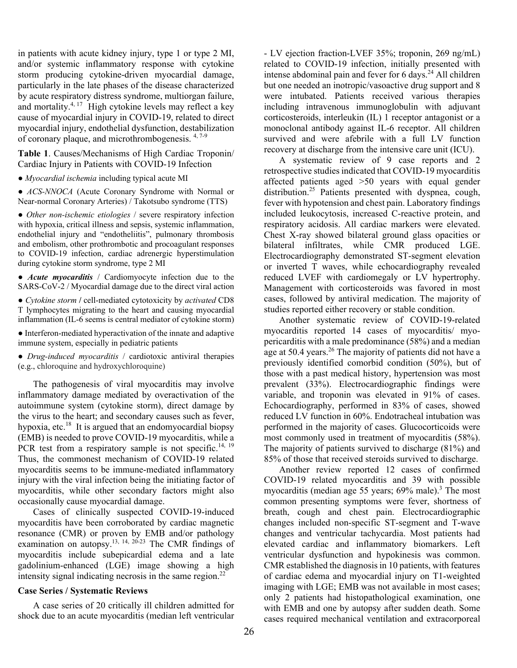in patients with acute kidney injury, type 1 or type 2 MI, and/or systemic inflammatory response with cytokine storm producing cytokine-driven myocardial damage, particularly in the late phases of the disease characterized by acute respiratory distress syndrome, multiorgan failure, and mortality. $4, 17$  High cytokine levels may reflect a key cause of myocardial injury in COVID-19, related to direct myocardial injury, endothelial dysfunction, destabilization of coronary plaque, and microthrombogenesis. 4, 7-9

**Table 1**. Causes/Mechanisms of High Cardiac Troponin/ Cardiac Injury in Patients with COVID-19 Infection

*● Myocardial ischemia* including typical acute MI

*● ACS-NNOCA* (Acute Coronary Syndrome with Normal or Near-normal Coronary Arteries) / Takotsubo syndrome (TTS)

*● Other non-ischemic etiologies* / severe respiratory infection with hypoxia, critical illness and sepsis, systemic inflammation, endothelial injury and "endotheliitis", pulmonary thrombosis and embolism, other prothrombotic and procoagulant responses to COVID-19 infection, cardiac adrenergic hyperstimulation during cytokine storm syndrome, type 2 MI

*● Acute myocarditis* / Cardiomyocyte infection due to the SARS-CoV-2 / Myocardial damage due to the direct viral action

*● Cytokine storm* **/** cell-mediated cytotoxicity by *activated* CD8 T lymphocytes migrating to the heart and causing myocardial inflammation (IL-6 seems is central mediator of cytokine storm)

*●* Interferon-mediated hyperactivation of the innate and adaptive immune system, especially in pediatric patients

*● Drug-induced myocarditis* / cardiotoxic antiviral therapies (e.g., chloroquine and hydroxychloroquine)

The pathogenesis of viral myocarditis may involve inflammatory damage mediated by overactivation of the autoimmune system (cytokine storm), direct damage by the virus to the heart; and secondary causes such as fever, hypoxia, etc.<sup>18</sup> It is argued that an endomyocardial biopsy (EMB) is needed to prove COVID-19 myocarditis, while a PCR test from a respiratory sample is not specific.<sup>14, 19</sup> Thus, the commonest mechanism of COVID-19 related myocarditis seems to be immune-mediated inflammatory injury with the viral infection being the initiating factor of myocarditis, while other secondary factors might also occasionally cause myocardial damage.

Cases of clinically suspected COVID-19-induced myocarditis have been corroborated by cardiac magnetic resonance (CMR) or proven by EMB and/or pathology examination on autopsy.<sup>13, 14, 20-23</sup> The CMR findings of myocarditis include subepicardial edema and a late gadolinium-enhanced (LGE) image showing a high intensity signal indicating necrosis in the same region.22

#### **Case Series / Systematic Reviews**

A case series of 20 critically ill children admitted for shock due to an acute myocarditis (median left ventricular - LV ejection fraction-LVEF 35%; troponin, 269 ng/mL) related to COVID-19 infection, initially presented with intense abdominal pain and fever for  $6 \text{ days}$ .<sup>24</sup> All children but one needed an inotropic/vasoactive drug support and 8 were intubated. Patients received various therapies including intravenous immunoglobulin with adjuvant corticosteroids, interleukin (IL) 1 receptor antagonist or a monoclonal antibody against IL-6 receptor. All children survived and were afebrile with a full LV function recovery at discharge from the intensive care unit (ICU).

A systematic review of 9 case reports and 2 retrospective studies indicated that COVID-19 myocarditis affected patients aged >50 years with equal gender distribution.<sup>25</sup> Patients presented with dyspnea, cough, fever with hypotension and chest pain. Laboratory findings included leukocytosis, increased C-reactive protein, and respiratory acidosis. All cardiac markers were elevated. Chest X-ray showed bilateral ground glass opacities or bilateral infiltrates, while CMR produced LGE. Electrocardiography demonstrated ST-segment elevation or inverted T waves, while echocardiography revealed reduced LVEF with cardiomegaly or LV hypertrophy. Management with corticosteroids was favored in most cases, followed by antiviral medication. The majority of studies reported either recovery or stable condition.

 Another systematic review of COVID-19-related myocarditis reported 14 cases of myocarditis/ myopericarditis with a male predominance (58%) and a median age at 50.4 years.<sup>26</sup> The majority of patients did not have a previously identified comorbid condition (50%), but of those with a past medical history, hypertension was most prevalent (33%). Electrocardiographic findings were variable, and troponin was elevated in 91% of cases. Echocardiography, performed in 83% of cases, showed reduced LV function in 60%. Endotracheal intubation was performed in the majority of cases. Glucocorticoids were most commonly used in treatment of myocarditis (58%). The majority of patients survived to discharge (81%) and 85% of those that received steroids survived to discharge.

 Another review reported 12 cases of confirmed COVID-19 related myocarditis and 39 with possible myocarditis (median age 55 years; 69% male).<sup>3</sup> The most common presenting symptoms were fever, shortness of breath, cough and chest pain. Electrocardiographic changes included non-specific ST-segment and T-wave changes and ventricular tachycardia. Most patients had elevated cardiac and inflammatory biomarkers. Left ventricular dysfunction and hypokinesis was common. CMR established the diagnosis in 10 patients, with features of cardiac edema and myocardial injury on T1-weighted imaging with LGE; EMB was not available in most cases; only 2 patients had histopathological examination, one with EMB and one by autopsy after sudden death. Some cases required mechanical ventilation and extracorporeal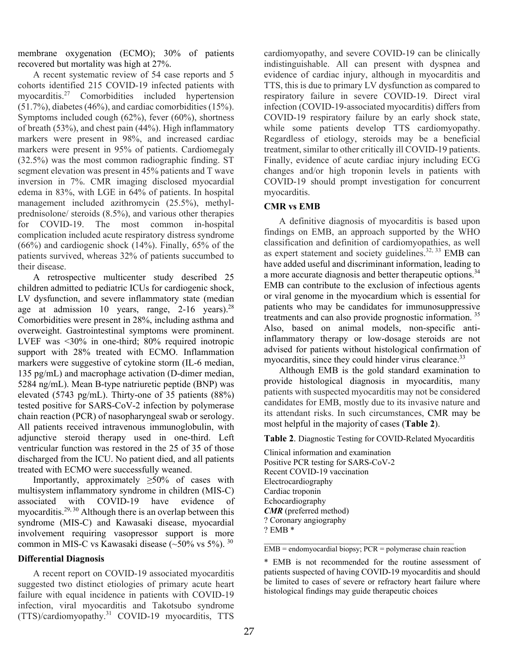membrane oxygenation (ECMO); 30% of patients recovered but mortality was high at 27%.

A recent systematic review of 54 case reports and 5 cohorts identified 215 COVID-19 infected patients with myocarditis.27 Comorbidities included hypertension (51.7%), diabetes (46%), and cardiac comorbidities (15%). Symptoms included cough (62%), fever (60%), shortness of breath (53%), and chest pain (44%). High inflammatory markers were present in 98%, and increased cardiac markers were present in 95% of patients. Cardiomegaly (32.5%) was the most common radiographic finding. ST segment elevation was present in 45% patients and T wave inversion in 7%. CMR imaging disclosed myocardial edema in 83%, with LGE in 64% of patients. In hospital management included azithromycin (25.5%), methylprednisolone/ steroids (8.5%), and various other therapies for COVID-19. The most common in-hospital complication included acute respiratory distress syndrome (66%) and cardiogenic shock (14%). Finally, 65% of the patients survived, whereas 32% of patients succumbed to their disease.

A retrospective multicenter study described 25 children admitted to pediatric ICUs for cardiogenic shock, LV dysfunction, and severe inflammatory state (median age at admission 10 years, range,  $2-16$  years).<sup>28</sup> Comorbidities were present in 28%, including asthma and overweight. Gastrointestinal symptoms were prominent. LVEF was <30% in one-third; 80% required inotropic support with 28% treated with ECMO. Inflammation markers were suggestive of cytokine storm (IL-6 median, 135 pg/mL) and macrophage activation (D-dimer median, 5284 ng/mL). Mean B-type natriuretic peptide (BNP) was elevated (5743 pg/mL). Thirty-one of 35 patients (88%) tested positive for SARS-CoV-2 infection by polymerase chain reaction (PCR) of nasopharyngeal swab or serology. All patients received intravenous immunoglobulin, with adjunctive steroid therapy used in one-third. Left ventricular function was restored in the 25 of 35 of those discharged from the ICU. No patient died, and all patients treated with ECMO were successfully weaned.

Importantly, approximately  $\geq 50\%$  of cases with multisystem inflammatory syndrome in children (MIS-C) associated with COVID-19 have evidence of myocarditis.29, 30 Although there is an overlap between this syndrome (MIS-C) and Kawasaki disease, myocardial involvement requiring vasopressor support is more common in MIS-C vs Kawasaki disease  $(-50\% \text{ vs } 5\%)$ . <sup>30</sup>

## **Differential Diagnosis**

A recent report on COVID-19 associated myocarditis suggested two distinct etiologies of primary acute heart failure with equal incidence in patients with COVID-19 infection, viral myocarditis and Takotsubo syndrome (TTS)/cardiomyopathy.31 COVID-19 myocarditis, TTS

cardiomyopathy, and severe COVID-19 can be clinically indistinguishable. All can present with dyspnea and evidence of cardiac injury, although in myocarditis and TTS, this is due to primary LV dysfunction as compared to respiratory failure in severe COVID-19. Direct viral infection (COVID-19-associated myocarditis) differs from COVID-19 respiratory failure by an early shock state, while some patients develop TTS cardiomyopathy. Regardless of etiology, steroids may be a beneficial treatment, similar to other critically ill COVID-19 patients. Finally, evidence of acute cardiac injury including ECG changes and/or high troponin levels in patients with COVID-19 should prompt investigation for concurrent myocarditis.

## **CMR vs EMB**

A definitive diagnosis of myocarditis is based upon findings on EMB, an approach supported by the WHO classification and definition of cardiomyopathies, as well as expert statement and society guidelines.<sup>32, 33</sup> EMB can have added useful and discriminant information, leading to a more accurate diagnosis and better therapeutic options.<sup>34</sup> EMB can contribute to the exclusion of infectious agents or viral genome in the myocardium which is essential for patients who may be candidates for immunosuppressive treatments and can also provide prognostic information. 35 Also, based on animal models, non-specific antiinflammatory therapy or low-dosage steroids are not advised for patients without histological confirmation of myocarditis, since they could hinder virus clearance.<sup>33</sup>

Although EMB is the gold standard examination to provide histological diagnosis in myocarditis, many patients with suspected myocarditis may not be considered candidates for EMB, mostly due to its invasive nature and its attendant risks. In such circumstances, CMR may be most helpful in the majority of cases (**Table 2**).

**Table 2**. Diagnostic Testing for COVID-Related Myocarditis

Clinical information and examination Positive PCR testing for SARS-CoV-2 Recent COVID-19 vaccination Electrocardiography Cardiac troponin Echocardiography *CMR* (preferred method) ? Coronary angiography ? EMB \*

 $EMB = endomyocardial \overline{b}i$   $PCR = polymerase \overline{c}hain \overline{b}i$ 

<sup>\*</sup> EMB is not recommended for the routine assessment of patients suspected of having COVID-19 myocarditis and should be limited to cases of severe or refractory heart failure where histological findings may guide therapeutic choices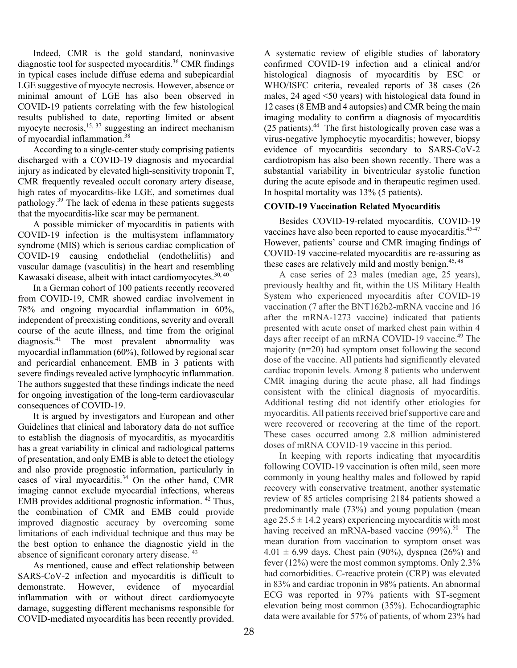Indeed, CMR is the gold standard, noninvasive diagnostic tool for suspected myocarditis.<sup>36</sup> CMR findings in typical cases include diffuse edema and subepicardial LGE suggestive of myocyte necrosis. However, absence or minimal amount of LGE has also been observed in COVID-19 patients correlating with the few histological results published to date, reporting limited or absent myocyte necrosis, $^{15, 37}$  suggesting an indirect mechanism of myocardial inflammation.38

According to a single-center study comprising patients discharged with a COVID-19 diagnosis and myocardial injury as indicated by elevated high-sensitivity troponin T, CMR frequently revealed occult coronary artery disease, high rates of myocarditis-like LGE, and sometimes dual pathology.39 The lack of edema in these patients suggests that the myocarditis-like scar may be permanent.

A possible mimicker of myocarditis in patients with COVID-19 infection is the multisystem inflammatory syndrome (MIS) which is serious cardiac complication of COVID-19 causing endothelial (endotheliitis) and vascular damage (vasculitis) in the heart and resembling Kawasaki disease, albeit with intact cardiomyocytes.<sup>30, 40</sup>

In a German cohort of 100 patients recently recovered from COVID-19, CMR showed cardiac involvement in 78% and ongoing myocardial inflammation in 60%, independent of preexisting conditions, severity and overall course of the acute illness, and time from the original diagnosis.41 The most prevalent abnormality was myocardial inflammation (60%), followed by regional scar and pericardial enhancement. EMB in 3 patients with severe findings revealed active lymphocytic inflammation. The authors suggested that these findings indicate the need for ongoing investigation of the long-term cardiovascular consequences of COVID-19.

 It is argued by investigators and European and other Guidelines that clinical and laboratory data do not suffice to establish the diagnosis of myocarditis, as myocarditis has a great variability in clinical and radiological patterns of presentation, and only EMB is able to detect the etiology and also provide prognostic information, particularly in cases of viral myocarditis.<sup>34</sup> On the other hand, CMR imaging cannot exclude myocardial infections, whereas EMB provides additional prognostic information. 42 Thus, the combination of CMR and EMB could provide improved diagnostic accuracy by overcoming some limitations of each individual technique and thus may be the best option to enhance the diagnostic yield in the absence of significant coronary artery disease. <sup>43</sup>

As mentioned, cause and effect relationship between SARS-CoV-2 infection and myocarditis is difficult to demonstrate. However, evidence of myocardial inflammation with or without direct cardiomyocyte damage, suggesting different mechanisms responsible for COVID-mediated myocarditis has been recently provided.

A systematic review of eligible studies of laboratory confirmed COVID-19 infection and a clinical and/or histological diagnosis of myocarditis by ESC or WHO/ISFC criteria, revealed reports of 38 cases (26 males, 24 aged <50 years) with histological data found in 12 cases (8 EMB and 4 autopsies) and CMR being the main imaging modality to confirm a diagnosis of myocarditis  $(25 \text{ patients})$ .<sup>44</sup> The first histologically proven case was a virus-negative lymphocytic myocarditis; however, biopsy evidence of myocarditis secondary to SARS-CoV-2 cardiotropism has also been shown recently. There was a substantial variability in biventricular systolic function during the acute episode and in therapeutic regimen used. In hospital mortality was 13% (5 patients).

## **COVID-19 Vaccination Related Myocarditis**

 Besides COVID-19-related myocarditis, COVID-19 vaccines have also been reported to cause myocarditis.<sup>45-47</sup> However, patients' course and CMR imaging findings of COVID-19 vaccine-related myocarditis are re-assuring as these cases are relatively mild and mostly benign. $45,48$ 

A case series of 23 males (median age, 25 years), previously healthy and fit, within the US Military Health System who experienced myocarditis after COVID-19 vaccination (7 after the BNT162b2-mRNA vaccine and 16 after the mRNA-1273 vaccine) indicated that patients presented with acute onset of marked chest pain within 4 days after receipt of an mRNA COVID-19 vaccine.<sup>49</sup> The majority  $(n=20)$  had symptom onset following the second dose of the vaccine. All patients had significantly elevated cardiac troponin levels. Among 8 patients who underwent CMR imaging during the acute phase, all had findings consistent with the clinical diagnosis of myocarditis. Additional testing did not identify other etiologies for myocarditis. All patients received brief supportive care and were recovered or recovering at the time of the report. These cases occurred among 2.8 million administered doses of mRNA COVID-19 vaccine in this period.

In keeping with reports indicating that myocarditis following COVID-19 vaccination is often mild, seen more commonly in young healthy males and followed by rapid recovery with conservative treatment, another systematic review of 85 articles comprising 2184 patients showed a predominantly male (73%) and young population (mean age  $25.5 \pm 14.2$  years) experiencing myocarditis with most having received an mRNA-based vaccine  $(99\%)$ .<sup>50</sup> The mean duration from vaccination to symptom onset was  $4.01 \pm 6.99$  days. Chest pain (90%), dyspnea (26%) and fever (12%) were the most common symptoms. Only 2.3% had comorbidities. C-reactive protein (CRP) was elevated in 83% and cardiac troponin in 98% patients. An abnormal ECG was reported in 97% patients with ST-segment elevation being most common (35%). Echocardiographic data were available for 57% of patients, of whom 23% had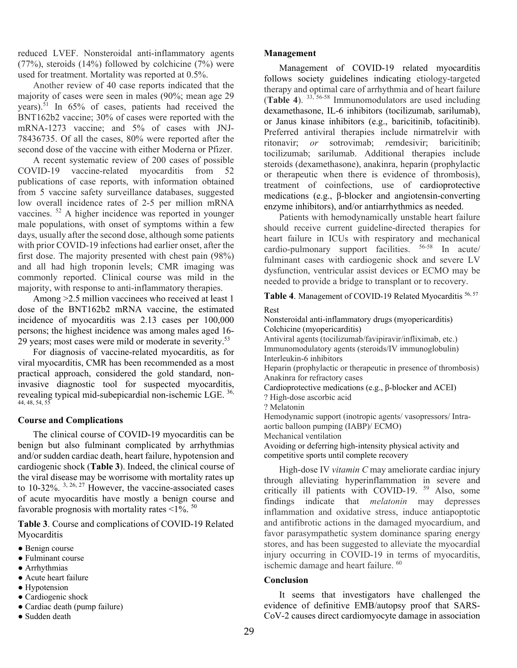reduced LVEF. Nonsteroidal anti-inflammatory agents (77%), steroids (14%) followed by colchicine (7%) were used for treatment. Mortality was reported at 0.5%.

Another review of 40 case reports indicated that the majority of cases were seen in males (90%; mean age 29 years).<sup>51</sup> In  $65\%$  of cases, patients had received the BNT162b2 vaccine; 30% of cases were reported with the mRNA-1273 vaccine; and 5% of cases with JNJ-78436735. Of all the cases, 80% were reported after the second dose of the vaccine with either Moderna or Pfizer.

A recent systematic review of 200 cases of possible COVID-19 vaccine-related myocarditis from 52 publications of case reports, with information obtained from 5 vaccine safety surveillance databases, suggested low overall incidence rates of 2-5 per million mRNA vaccines. 52 A higher incidence was reported in younger male populations, with onset of symptoms within a few days, usually after the second dose, although some patients with prior COVID-19 infections had earlier onset, after the first dose. The majority presented with chest pain (98%) and all had high troponin levels; CMR imaging was commonly reported. Clinical course was mild in the majority, with response to anti-inflammatory therapies.

Among >2.5 million vaccinees who received at least 1 dose of the BNT162b2 mRNA vaccine, the estimated incidence of myocarditis was 2.13 cases per 100,000 persons; the highest incidence was among males aged 16- 29 years; most cases were mild or moderate in severity.<sup>53</sup>

 For diagnosis of vaccine-related myocarditis, as for viral myocarditis, CMR has been recommended as a most practical approach, considered the gold standard, noninvasive diagnostic tool for suspected myocarditis, revealing typical mid-subepicardial non-ischemic LGE. 36, 44, 48, 54, 55

#### **Course and Complications**

 The clinical course of COVID-19 myocarditis can be benign but also fulminant complicated by arrhythmias and/or sudden cardiac death, heart failure, hypotension and cardiogenic shock (**Table 3**). Indeed, the clinical course of the viral disease may be worrisome with mortality rates up to 10-32%.  $3, 26, 27$  However, the vaccine-associated cases of acute myocarditis have mostly a benign course and favorable prognosis with mortality rates  $\leq 1\%$ . <sup>50</sup>

**Table 3**. Course and complications of COVID-19 Related Myocarditis

- Benign course
- Fulminant course
- Arrhythmias
- Acute heart failure
- Hypotension
- Cardiogenic shock
- Cardiac death (pump failure)
- Sudden death

#### **Management**

 Management of COVID-19 related myocarditis follows society guidelines indicating etiology-targeted therapy and optimal care of arrhythmia and of heart failure (**Table 4**). 33, 56-58 Immunomodulators are used including dexamethasone, IL-6 inhibitors (tocilizumab, sarilumab), or Janus kinase inhibitors (e.g., baricitinib, tofacitinib). Preferred antiviral therapies include nirmatrelvir with ritonavir; *or* sotrovimab; *r*emdesivir; baricitinib; tocilizumab; sarilumab. Additional therapies include steroids (dexamethasone), anakinra, heparin (prophylactic or therapeutic when there is evidence of thrombosis), treatment of coinfections, use of cardioprotective medications (e.g., β-blocker and angiotensin-converting enzyme inhibitors), and/or antiarrhythmics as needed.

Patients with hemodynamically unstable heart failure should receive current guideline-directed therapies for heart failure in ICUs with respiratory and mechanical cardio-pulmonary support facilities. 56-58 In acute/ fulminant cases with cardiogenic shock and severe LV dysfunction, ventricular assist devices or ECMO may be needed to provide a bridge to transplant or to recovery.

Table 4. Management of COVID-19 Related Myocarditis <sup>56, 57</sup> Rest

Nonsteroidal anti-inflammatory drugs (myopericarditis) Colchicine (myopericarditis) Antiviral agents (tocilizumab/favipiravir/infliximab, etc.) Immunomodulatory agents (steroids/IV immunoglobulin) Interleukin-6 inhibitors Heparin (prophylactic or therapeutic in presence of thrombosis) Anakinra for refractory cases Cardioprotective medications (e.g., β-blocker and ACEI) ? High-dose ascorbic acid ? Melatonin Hemodynamic support (inotropic agents/ vasopressors/ Intraaortic balloon pumping (IABP)/ ECMO) Mechanical ventilation Avoiding or deferring high-intensity physical activity and competitive sports until complete recovery

High-dose IV *vitamin C* may ameliorate cardiac injury through alleviating hyperinflammation in severe and critically ill patients with COVID-19. 59 Also, some findings indicate that *melatonin* may depresses inflammation and oxidative stress, induce antiapoptotic and antifibrotic actions in the damaged myocardium, and favor parasympathetic system dominance sparing energy stores, and has been suggested to alleviate the myocardial injury occurring in COVID-19 in terms of myocarditis, ischemic damage and heart failure. <sup>60</sup>

## **Conclusion**

It seems that investigators have challenged the evidence of definitive EMB/autopsy proof that SARS-CoV-2 causes direct cardiomyocyte damage in association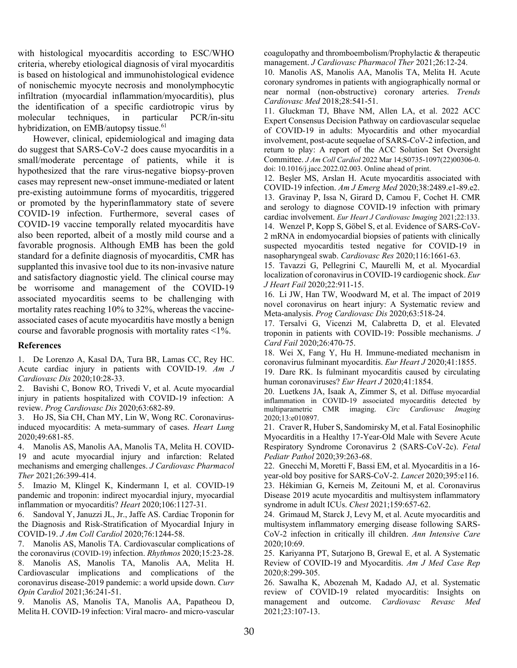with histological myocarditis according to ESC/WHO criteria, whereby etiological diagnosis of viral myocarditis is based on histological and immunohistological evidence of nonischemic myocyte necrosis and monolymphocytic infiltration (myocardial inflammation/myocarditis), plus the identification of a specific cardiotropic virus by molecular techniques, in particular PCR/in-situ hybridization, on  $EMB/autopsy$  tissue.<sup>61</sup>

However, clinical, epidemiological and imaging data do suggest that SARS-CoV-2 does cause myocarditis in a small/moderate percentage of patients, while it is hypothesized that the rare virus-negative biopsy-proven cases may represent new-onset immune-mediated or latent pre-existing autoimmune forms of myocarditis, triggered or promoted by the hyperinflammatory state of severe COVID-19 infection. Furthermore, several cases of COVID-19 vaccine temporally related myocarditis have also been reported, albeit of a mostly mild course and a favorable prognosis. Although EMB has been the gold standard for a definite diagnosis of myocarditis, CMR has supplanted this invasive tool due to its non-invasive nature and satisfactory diagnostic yield. The clinical course may be worrisome and management of the COVID-19 associated myocarditis seems to be challenging with mortality rates reaching 10% to 32%, whereas the vaccineassociated cases of acute myocarditis have mostly a benign course and favorable prognosis with mortality rates <1%.

#### **References**

1. De Lorenzo A, Kasal DA, Tura BR, Lamas CC, Rey HC. Acute cardiac injury in patients with COVID-19. *Am J Cardiovasc Dis* 2020;10:28-33.

2. Bavishi C, Bonow RO, Trivedi V, et al. Acute myocardial injury in patients hospitalized with COVID-19 infection: A review. *Prog Cardiovasc Dis* 2020;63:682-89.

3. Ho JS, Sia CH, Chan MY, Lin W, Wong RC. Coronavirusinduced myocarditis: A meta-summary of cases. *Heart Lung* 2020;49:681-85.

4. Manolis AS, Manolis AA, Manolis TA, Melita H. COVID-19 and acute myocardial injury and infarction: Related mechanisms and emerging challenges. *J Cardiovasc Pharmacol Ther* 2021;26:399-414.

5. Imazio M, Klingel K, Kindermann I, et al. COVID-19 pandemic and troponin: indirect myocardial injury, myocardial inflammation or myocarditis? *Heart* 2020;106:1127-31.

6. Sandoval Y, Januzzi JL, Jr., Jaffe AS. Cardiac Troponin for the Diagnosis and Risk-Stratification of Myocardial Injury in COVID-19. *J Am Coll Cardiol* 2020;76:1244-58.

7. Manolis AS, Manolis TA. Cardiovascular complications of the coronavirus (COVID-19) infection. *Rhythmos* 2020;15:23-28. 8. Manolis AS, Manolis TA, Manolis AA, Melita H. Cardiovascular implications and complications of the coronavirus disease-2019 pandemic: a world upside down. *Curr Opin Cardiol* 2021;36:241-51.

9. Manolis AS, Manolis TA, Manolis AA, Papatheou D, Melita H. COVID-19 infection: Viral macro- and micro-vascular coagulopathy and thromboembolism/Prophylactic & therapeutic management. *J Cardiovasc Pharmacol Ther* 2021;26:12-24.

10. Manolis AS, Manolis AA, Manolis TA, Melita H. Acute coronary syndromes in patients with angiographically normal or near normal (non-obstructive) coronary arteries. *Trends Cardiovasc Med* 2018;28:541-51.

11. Gluckman TJ, Bhave NM, Allen LA, et al. 2022 ACC Expert Consensus Decision Pathway on cardiovascular sequelae of COVID-19 in adults: Myocarditis and other myocardial involvement, post-acute sequelae of SARS-CoV-2 infection, and return to play: A report of the ACC Solution Set Oversight Committee. *J Am Coll Cardiol* 2022 Mar 14;S0735-1097(22)00306-0. doi: 10.1016/j.jacc.2022.02.003. Online ahead of print.

12. Beşler MS, Arslan H. Acute myocarditis associated with COVID-19 infection. *Am J Emerg Med* 2020;38:2489.e1-89.e2. 13. Gravinay P, Issa N, Girard D, Camou F, Cochet H. CMR and serology to diagnose COVID-19 infection with primary cardiac involvement. *Eur Heart J Cardiovasc Imaging* 2021;22:133. 14. Wenzel P, Kopp S, Göbel S, et al. Evidence of SARS-CoV-2 mRNA in endomyocardial biopsies of patients with clinically suspected myocarditis tested negative for COVID-19 in nasopharyngeal swab. *Cardiovasc Res* 2020;116:1661-63.

15. Tavazzi G, Pellegrini C, Maurelli M, et al. Myocardial localization of coronavirus in COVID-19 cardiogenic shock. *Eur J Heart Fail* 2020;22:911-15.

16. Li JW, Han TW, Woodward M, et al. The impact of 2019 novel coronavirus on heart injury: A Systematic review and Meta-analysis. *Prog Cardiovasc Dis* 2020;63:518-24.

17. Tersalvi G, Vicenzi M, Calabretta D, et al. Elevated troponin in patients with COVID-19: Possible mechanisms. *J Card Fail* 2020;26:470-75.

18. Wei X, Fang Y, Hu H. Immune-mediated mechanism in coronavirus fulminant myocarditis. *Eur Heart J* 2020;41:1855.

19. Dare RK. Is fulminant myocarditis caused by circulating human coronaviruses? *Eur Heart J* 2020;41:1854.

20. Luetkens JA, Isaak A, Zimmer S, et al. Diffuse myocardial inflammation in COVID-19 associated myocarditis detected by multiparametric CMR imaging. *Circ Cardiovasc Imaging* 2020;13:e010897.

21. Craver R, Huber S, Sandomirsky M, et al. Fatal Eosinophilic Myocarditis in a Healthy 17-Year-Old Male with Severe Acute Respiratory Syndrome Coronavirus 2 (SARS-CoV-2c). *Fetal Pediatr Pathol* 2020;39:263-68.

22. Gnecchi M, Moretti F, Bassi EM, et al. Myocarditis in a 16 year-old boy positive for SARS-CoV-2. *Lancet* 2020;395:e116.

23. Hékimian G, Kerneis M, Zeitouni M, et al. Coronavirus Disease 2019 acute myocarditis and multisystem inflammatory syndrome in adult ICUs. *Chest* 2021;159:657-62.

24. Grimaud M, Starck J, Levy M, et al. Acute myocarditis and multisystem inflammatory emerging disease following SARS-CoV-2 infection in critically ill children. *Ann Intensive Care* 2020;10:69.

25. Kariyanna PT, Sutarjono B, Grewal E, et al. A Systematic Review of COVID-19 and Myocarditis. *Am J Med Case Rep* 2020;8:299-305.

26. Sawalha K, Abozenah M, Kadado AJ, et al. Systematic review of COVID-19 related myocarditis: Insights on management and outcome. *Cardiovasc Revasc Med* 2021;23:107-13.